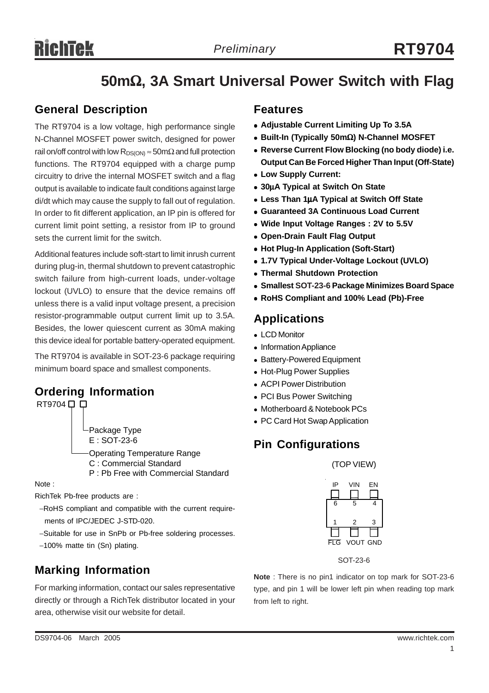# **RichTek**

# **50m**Ω**, 3A Smart Universal Power Switch with Flag**

### **General Description**

The RT9704 is a low voltage, high performance single N-Channel MOSFET power switch, designed for power rail on/off control with low  $R_{DS(ON)} \approx 50 \text{m}\Omega$  and full protection functions. The RT9704 equipped with a charge pump circuitry to drive the internal MOSFET switch and a flag output is available to indicate fault conditions against large di/dt which may cause the supply to fall out of regulation. In order to fit different application, an IP pin is offered for current limit point setting, a resistor from IP to ground sets the current limit for the switch.

Additional features include soft-start to limit inrush current during plug-in, thermal shutdown to prevent catastrophic switch failure from high-current loads, under-voltage lockout (UVLO) to ensure that the device remains off unless there is a valid input voltage present, a precision resistor-programmable output current limit up to 3.5A. Besides, the lower quiescent current as 30mA making this device ideal for portable battery-operated equipment.

The RT9704 is available in SOT-23-6 package requiring minimum board space and smallest components.

# **Ordering Information**



Operating Temperature Range C : Commercial Standard P : Pb Free with Commercial Standard

Note :

RichTek Pb-free products are :

- −RoHS compliant and compatible with the current require ments of IPC/JEDEC J-STD-020.
- −Suitable for use in SnPb or Pb-free soldering processes.
- −100% matte tin (Sn) plating. FLG VOUT GND

## **Marking Information**

For marking information, contact our sales representative directly or through a RichTek distributor located in your area, otherwise visit our website for detail.

### **Features**

- **Adjustable Current Limiting Up To 3.5A**
- <sup>z</sup> **Built-In (Typically 50m**Ω**) N-Channel MOSFET**
- **Reverse Current Flow Blocking (no body diode) i.e. Output Can Be Forced Higher Than Input (Off-State)**
- **Low Supply Current:**
- <sup>z</sup> **30**μ**A Typical at Switch On State**
- <sup>z</sup> **Less Than 1**μ**A Typical at Switch Off State**
- **Guaranteed 3A Continuous Load Current**
- Wide Input Voltage Ranges: 2V to 5.5V
- **Open-Drain Fault Flag Output**
- <sup>z</sup> **Hot Plug-In Application (Soft-Start)**
- <sup>z</sup> **1.7V Typical Under-Voltage Lockout (UVLO)**
- **Thermal Shutdown Protection**
- **Smallest SOT-23-6 Package Minimizes Board Space**
- <sup>z</sup> **RoHS Compliant and 100% Lead (Pb)-Free**

### **Applications**

- LCD Monitor
- Information Appliance
- Battery-Powered Equipment
- Hot-Plug Power Supplies
- ACPI Power Distribution
- PCI Bus Power Switching
- Motherboard & Notebook PCs
- PC Card Hot Swap Application

# **Pin Configurations**

(TOP VIEW)



SOT-23-6

**Note** : There is no pin1 indicator on top mark for SOT-23-6 type, and pin 1 will be lower left pin when reading top mark from left to right.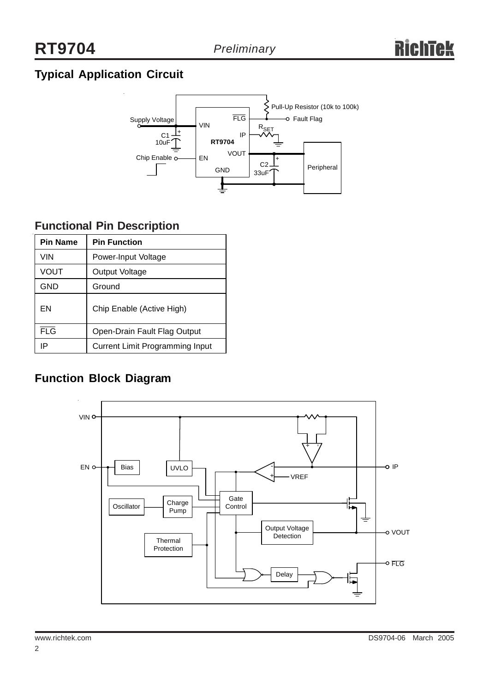# **Typical Application Circuit**



# **Functional Pin Description**

| <b>Pin Name</b> | <b>Pin Function</b>                    |  |  |
|-----------------|----------------------------------------|--|--|
| VIN             | Power-Input Voltage                    |  |  |
| VOUT            | Output Voltage                         |  |  |
| <b>GND</b>      | Ground                                 |  |  |
| EN              | Chip Enable (Active High)              |  |  |
| <b>FLG</b>      | Open-Drain Fault Flag Output           |  |  |
| IP              | <b>Current Limit Programming Input</b> |  |  |

# **Function Block Diagram**

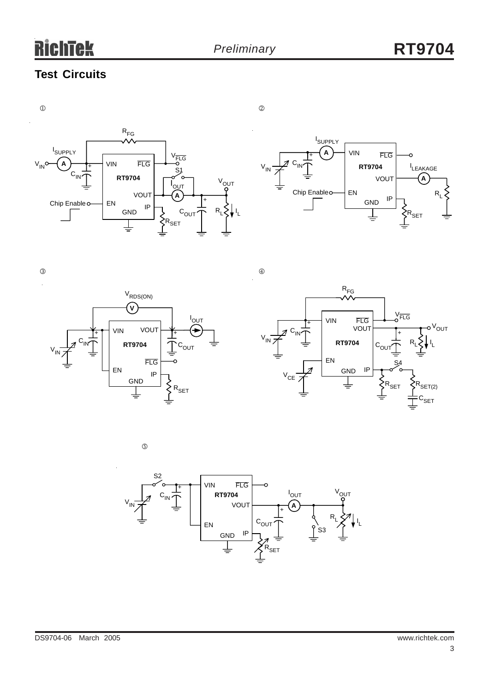# **Test Circuits**





 $\circled{3}$   $\circled{4}$ 





 $\circledS$ 

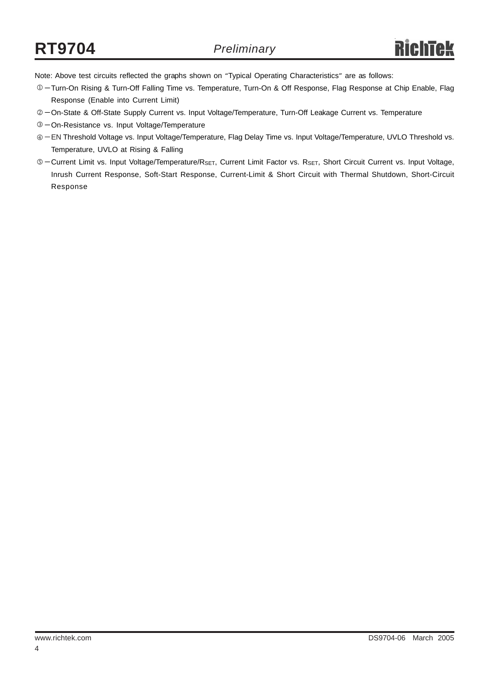Note: Above test circuits reflected the graphs shown on "Typical Operating Characteristics" are as follows:

- −Turn-On Rising & Turn-Off Falling Time vs. Temperature, Turn-On & Off Response, Flag Response at Chip Enable, Flag 1 Response (Enable into Current Limit)
- © On-State & Off-State Supply Current vs. Input Voltage/Temperature, Turn-Off Leakage Current vs. Temperature
- −On-Resistance vs. Input Voltage/Temperature 3
- −EN Threshold Voltage vs. Input Voltage/Temperature, Flag Delay Time vs. Input Voltage/Temperature, UVLO Threshold vs. 4 Temperature, UVLO at Rising & Falling
- © Current Limit vs. Input Voltage/Temperature/R<sub>SET</sub>, Current Limit Factor vs. R<sub>SET</sub>, Short Circuit Current vs. Input Voltage, Inrush Current Response, Soft-Start Response, Current-Limit & Short Circuit with Thermal Shutdown, Short-Circuit Response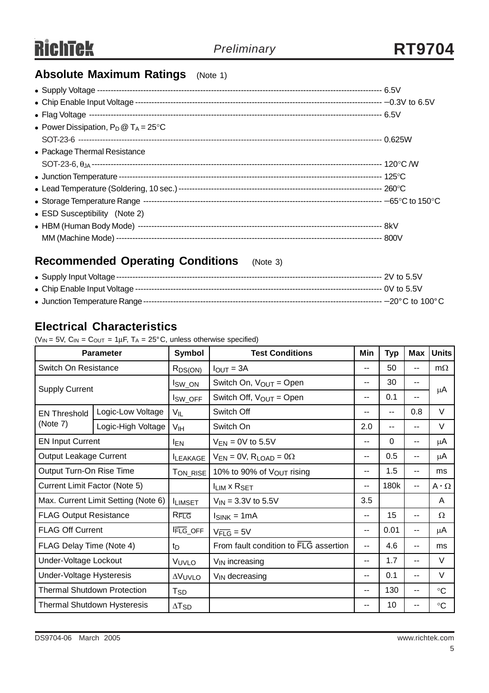# **Absolute Maximum Ratings** (Note 1)

| • Power Dissipation, $P_D @ T_A = 25^{\circ}C$ |  |
|------------------------------------------------|--|
|                                                |  |
| • Package Thermal Resistance                   |  |
|                                                |  |
|                                                |  |
|                                                |  |
|                                                |  |
| • ESD Susceptibility (Note 2)                  |  |
|                                                |  |
|                                                |  |

# **Recommended Operating Conditions** (Note 3)

# **Electrical Characteristics**

( $V_{IN}$  = 5V,  $C_{IN}$  =  $C_{OUT}$  = 1 $\mu$ F, T<sub>A</sub> = 25°C, unless otherwise specified)

| <b>Parameter</b>                    |                                                                 | <b>Symbol</b>            | <b>Test Conditions</b>                |            | <b>Typ</b> | <b>Max</b>    | <b>Units</b>     |
|-------------------------------------|-----------------------------------------------------------------|--------------------------|---------------------------------------|------------|------------|---------------|------------------|
| Switch On Resistance                |                                                                 | R <sub>DS(ON)</sub>      | $I_{OUT} = 3A$                        |            | 50         | $-$           | $m\Omega$        |
| <b>Supply Current</b>               |                                                                 | lsw_on                   | Switch On, $V_{OUT} = Open$<br>--     |            | 30         | $-$           | μA               |
|                                     |                                                                 | <sup>I</sup> SW_OFF      | Switch Off, $V_{OUT} = Open$          | --         | 0.1        | $-$           |                  |
| <b>EN Threshold</b>                 | Logic-Low Voltage                                               | $V_{IL}$                 | Switch Off                            |            | $-$        | 0.8           | V                |
| (Note 7)                            | Logic-High Voltage                                              | V <sub>IH</sub>          | Switch On                             | 2.0        | $-$        | $-$           | $\vee$           |
| <b>EN Input Current</b>             |                                                                 | <b>IEN</b>               | $V_{EN} = 0V$ to 5.5V                 |            | $\Omega$   | $- -$         | μA               |
| <b>Output Leakage Current</b>       |                                                                 | <b>I</b> LEAKAGE         | $V_{EN} = 0V$ , $R_{LOAD} = 0\Omega$  |            | 0.5        | --            | μA               |
| Output Turn-On Rise Time            |                                                                 | TON_RISE                 | 10% to 90% of $V_{\text{OUT}}$ rising | $\sim$ $-$ | 1.5        | $-$           | ms               |
| Current Limit Factor (Note 5)       |                                                                 |                          | <b>ILIM X RSET</b>                    | $- -$      | 180k       | $-$           | $A \cdot \Omega$ |
| Max. Current Limit Setting (Note 6) |                                                                 | <b>ILIMSET</b>           | $V_{\text{IN}}$ = 3.3V to 5.5V        |            |            |               | A                |
| <b>FLAG Output Resistance</b>       |                                                                 | $R_{\overline{FLG}}$     | $I_{SINK} = 1mA$                      |            | 15         | $-$           | Ω                |
|                                     | <b>FLAG Off Current</b><br>FLG_OFF<br>$V_{\overline{FLG}} = 5V$ |                          | $\overline{\phantom{a}}$              | 0.01       | --         | μA            |                  |
| FLAG Delay Time (Note 4)            |                                                                 | t <sub>D</sub>           | From fault condition to FLG assertion |            | 4.6        | $\sim$ $\sim$ | ms               |
| Under-Voltage Lockout               |                                                                 | VUVLO                    | V <sub>IN</sub> increasing            |            | 1.7        | $- -$         | $\vee$           |
| Under-Voltage Hysteresis            |                                                                 | <b>AVUVLO</b>            | $V_{IN}$ decreasing                   |            | 0.1        | $-$           | $\vee$           |
| <b>Thermal Shutdown Protection</b>  |                                                                 | T <sub>SD</sub>          |                                       |            | 130        | $-$           | $^{\circ}C$      |
| <b>Thermal Shutdown Hysteresis</b>  |                                                                 | $\Delta$ T <sub>SD</sub> |                                       |            | 10         | $- -$         | $\rm ^{\circ}C$  |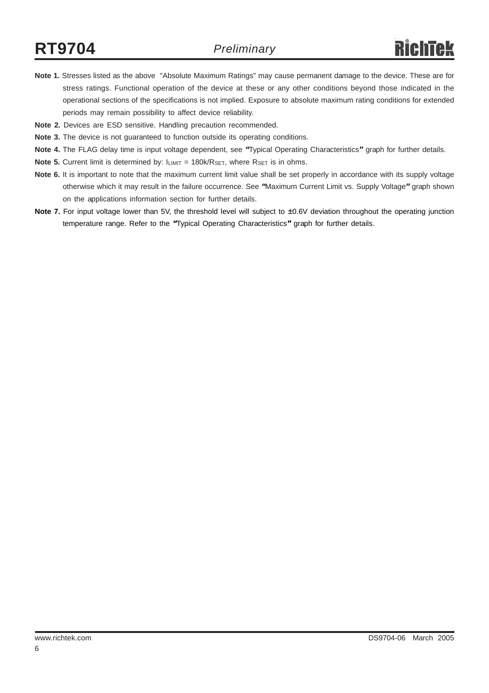- **Note 1.** Stresses listed as the above "Absolute Maximum Ratings" may cause permanent damage to the device. These are for stress ratings. Functional operation of the device at these or any other conditions beyond those indicated in the operational sections of the specifications is not implied. Exposure to absolute maximum rating conditions for extended periods may remain possibility to affect device reliability.
- **Note 2.** Devices are ESD sensitive. Handling precaution recommended.
- **Note 3.** The device is not guaranteed to function outside its operating conditions.
- **Note 4.** The FLAG delay time is input voltage dependent, see **"**Typical Operating Characteristics**"** graph for further details.
- **Note 5.** Current limit is determined by:  $I_{LIMIT} = 180k/R_{SET}$ , where  $R_{SET}$  is in ohms.
- Note 6. It is important to note that the maximum current limit value shall be set properly in accordance with its supply voltage otherwise which it may result in the failure occurrence. See **"**Maximum Current Limit vs. Supply Voltage**"** graph shown on the applications information section for further details.
- **Note 7.** For input voltage lower than 5V, the threshold level will subject to **±**0.6V deviation throughout the operating junction temperature range. Refer to the **"**Typical Operating Characteristics**"** graph for further details.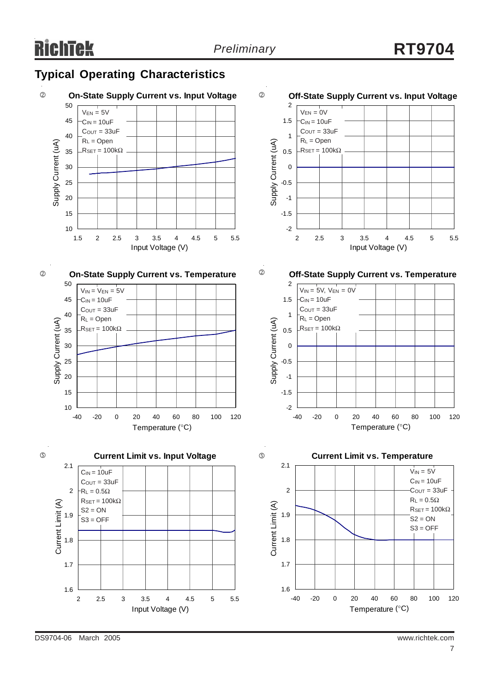

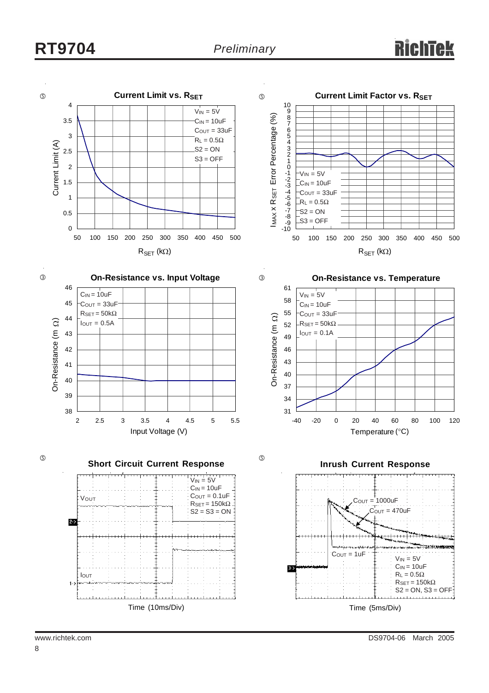# **RT9704** *Preliminary*

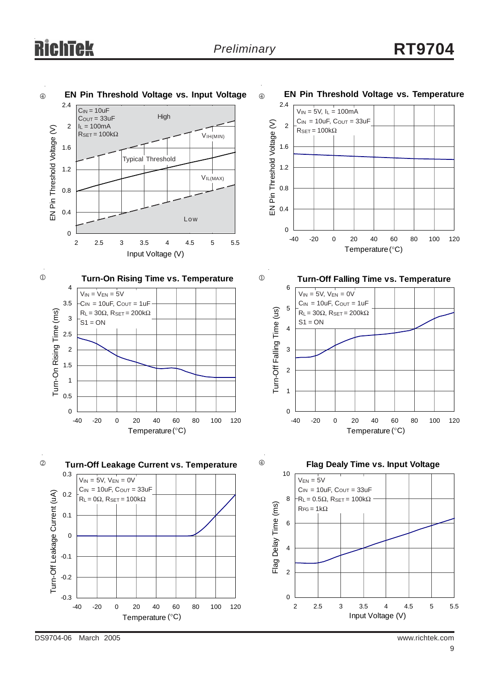

DS9704-06 March 2005 www.richtek.com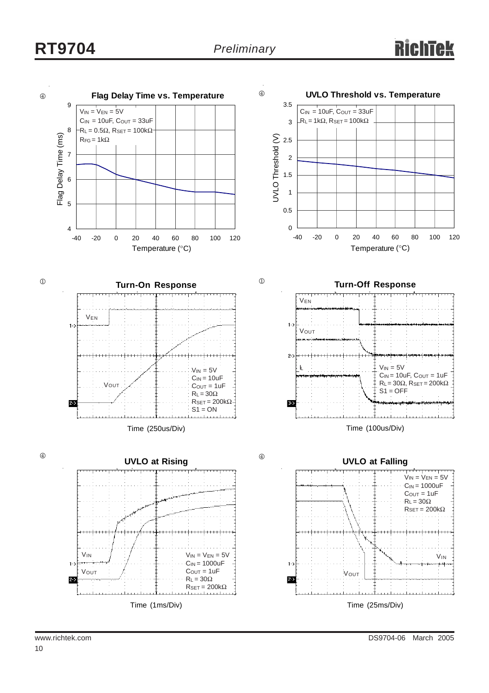# **RT9704** *Preliminary*

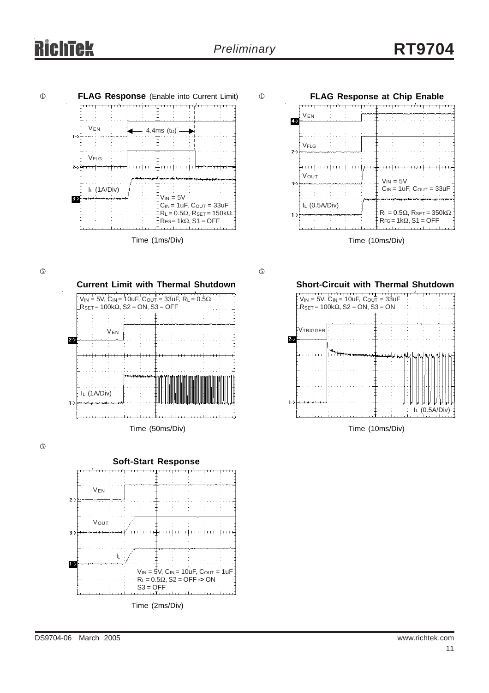# iek





 $\circledS$ 

**Current Limit with Thermal Shutdown**  $V_{\text{IN}} = 5V$ , C<sub>IN</sub> = 10uF, C<sub>OUT</sub> = 33uF, R<sub>L</sub> = 0.5Ω  $-R$ SET = 100k $\Omega$ , S2 = ON, S3 = OFF VEN  $2-$ IL (1A/Div)  $1-$ Time (50ms/Div)

 $\circledS$ 



 $\circledS$ 



Time (10ms/Div)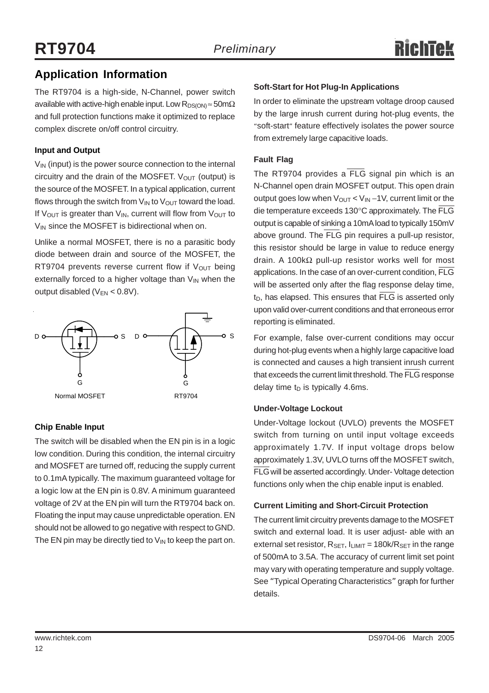# **Application Information**

The RT9704 is a high-side, N-Channel, power switch available with active-high enable input. Low  $R_{DS(ON)} \approx 50 \text{m}\Omega$ and full protection functions make it optimized to replace complex discrete on/off control circuitry.

### **Input and Output**

 $V_{\text{IN}}$  (input) is the power source connection to the internal circuitry and the drain of the MOSFET.  $V_{OUT}$  (output) is the source of the MOSFET. In a typical application, current flows through the switch from  $V_{IN}$  to  $V_{OUT}$  toward the load. If  $V_{\text{OUT}}$  is greater than  $V_{\text{IN}}$ , current will flow from  $V_{\text{OUT}}$  to  $V_{IN}$  since the MOSFET is bidirectional when on.

Unlike a normal MOSFET, there is no a parasitic body diode between drain and source of the MOSFET, the RT9704 prevents reverse current flow if  $V_{\text{OUT}}$  being externally forced to a higher voltage than  $V_{IN}$  when the output disabled ( $V_{EN}$  < 0.8V).



### **Chip Enable Input**

The switch will be disabled when the EN pin is in a logic low condition. During this condition, the internal circuitry and MOSFET are turned off, reducing the supply current to 0.1mA typically. The maximum guaranteed voltage for a logic low at the EN pin is 0.8V. A minimum guaranteed voltage of 2V at the EN pin will turn the RT9704 back on. Floating the input may cause unpredictable operation. EN should not be allowed to go negative with respect to GND. The EN pin may be directly tied to  $V_{IN}$  to keep the part on.

### **Soft-Start for Hot Plug-In Applications**

In order to eliminate the upstream voltage droop caused by the large inrush current during hot-plug events, the "soft-start" feature effectively isolates the power source from extremely large capacitive loads.

### **Fault Flag**

The RT9704 provides a FLG signal pin which is an N-Channel open drain MOSFET output. This open drain output goes low when V<sub>OUT</sub> < V<sub>IN</sub> −1V, current limit or the die temperature exceeds 130°C approximately. The FLG output is capable of sinking a 10mA load to typically 150mV above ground. The FLG pin requires a pull-up resistor, this resistor should be large in value to reduce energy drain. A 100kΩ pull-up resistor works well for most applications. In the case of an over-current condition, FLG will be asserted only after the flag response delay time,  $t_D$ , has elapsed. This ensures that  $\overline{\text{FLG}}$  is asserted only upon valid over-current conditions and that erroneous error reporting is eliminated.

For example, false over-current conditions may occur during hot-plug events when a highly large capacitive load is connected and causes a high transient inrush current that exceeds the current limit threshold. The FLG response delay time  $t_D$  is typically 4.6ms.

### **Under-Voltage Lockout**

Under-Voltage lockout (UVLO) prevents the MOSFET switch from turning on until input voltage exceeds approximately 1.7V. If input voltage drops below approximately 1.3V, UVLO turns off the MOSFET switch, FLG will be asserted accordingly. Under- Voltage detection functions only when the chip enable input is enabled.

### **Current Limiting and Short-Circuit Protection**

The current limit circuitry prevents damage to the MOSFET switch and external load. It is user adjust- able with an external set resistor,  $R_{\text{SET}}$ ,  $I_{\text{LIMIT}} = 180k/R_{\text{SET}}$  in the range of 500mA to 3.5A. The accuracy of current limit set point may vary with operating temperature and supply voltage. See "Typical Operating Characteristics" graph for further details.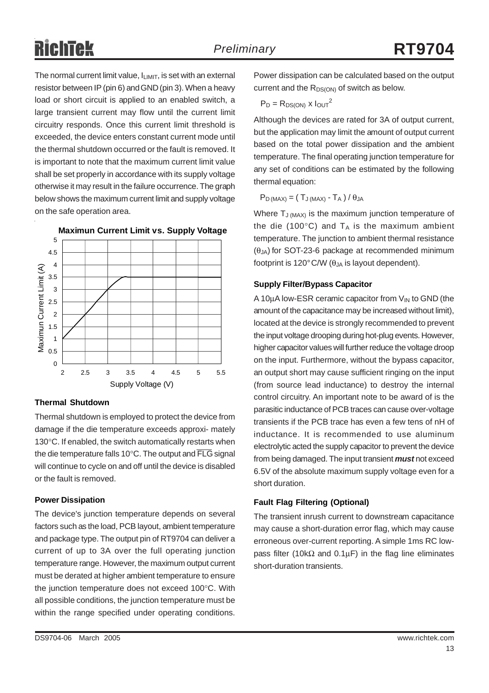The normal current limit value,  $I_{LIMIT}$ , is set with an external resistor between IP (pin 6) and GND (pin 3). When a heavy load or short circuit is applied to an enabled switch, a large transient current may flow until the current limit circuitry responds. Once this current limit threshold is exceeded, the device enters constant current mode until the thermal shutdown occurred or the fault is removed. It is important to note that the maximum current limit value shall be set properly in accordance with its supply voltage otherwise it may result in the failure occurrence. The graph below shows the maximum current limit and supply voltage on the safe operation area.



### **Thermal Shutdown**

Thermal shutdown is employed to protect the device from damage if the die temperature exceeds approxi- mately 130°C. If enabled, the switch automatically restarts when the die temperature falls 10°C. The output and FLG signal will continue to cycle on and off until the device is disabled or the fault is removed.

### **Power Dissipation**

The device's junction temperature depends on several factors such as the load, PCB layout, ambient temperature and package type. The output pin of RT9704 can deliver a current of up to 3A over the full operating junction temperature range. However, the maximum output current must be derated at higher ambient temperature to ensure the junction temperature does not exceed 100°C. With all possible conditions, the junction temperature must be within the range specified under operating conditions.

$$
P_D = R_{DS(ON)} \times I_{OUT}^2
$$

Although the devices are rated for 3A of output current, but the application may limit the amount of output current based on the total power dissipation and the ambient temperature. The final operating junction temperature for any set of conditions can be estimated by the following thermal equation:

 $P_D$  (MAX) = ( $T_J$  (MAX) -  $T_A$ ) /  $\theta_{JA}$ 

Where  $T_{J (MAX)}$  is the maximum junction temperature of the die (100 $^{\circ}$ C) and T<sub>A</sub> is the maximum ambient temperature. The junction to ambient thermal resistance  $(\theta_{JA})$  for SOT-23-6 package at recommended minimum footprint is 120 $^{\circ}$ C/W ( $\theta_{JA}$  is layout dependent).

### **Supply Filter/Bypass Capacitor**

A 10 $\mu$ A low-ESR ceramic capacitor from  $V_{\text{IN}}$  to GND (the amount of the capacitance may be increased without limit), located at the device is strongly recommended to prevent the input voltage drooping during hot-plug events. However, higher capacitor values will further reduce the voltage droop on the input. Furthermore, without the bypass capacitor, an output short may cause sufficient ringing on the input (from source lead inductance) to destroy the internal control circuitry. An important note to be award of is the parasitic inductance of PCB traces can cause over-voltage transients if the PCB trace has even a few tens of nH of inductance. It is recommended to use aluminum electrolytic acted the supply capacitor to prevent the device from being damaged. The input transient *must* not exceed 6.5V of the absolute maximum supply voltage even for a short duration.

### **Fault Flag Filtering (Optional)**

The transient inrush current to downstream capacitance may cause a short-duration error flag, which may cause erroneous over-current reporting. A simple 1ms RC lowpass filter (10kΩ and 0.1μF) in the flag line eliminates short-duration transients.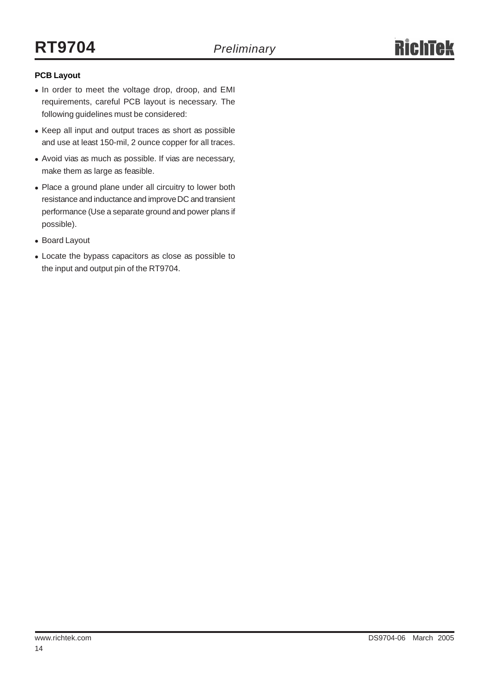### **PCB Layout**

- In order to meet the voltage drop, droop, and EMI requirements, careful PCB layout is necessary. The following guidelines must be considered:
- Keep all input and output traces as short as possible and use at least 150-mil, 2 ounce copper for all traces.
- Avoid vias as much as possible. If vias are necessary, make them as large as feasible.
- Place a ground plane under all circuitry to lower both resistance and inductance and improve DC and transient performance (Use a separate ground and power plans if possible).
- Board Layout
- Locate the bypass capacitors as close as possible to the input and output pin of the RT9704.